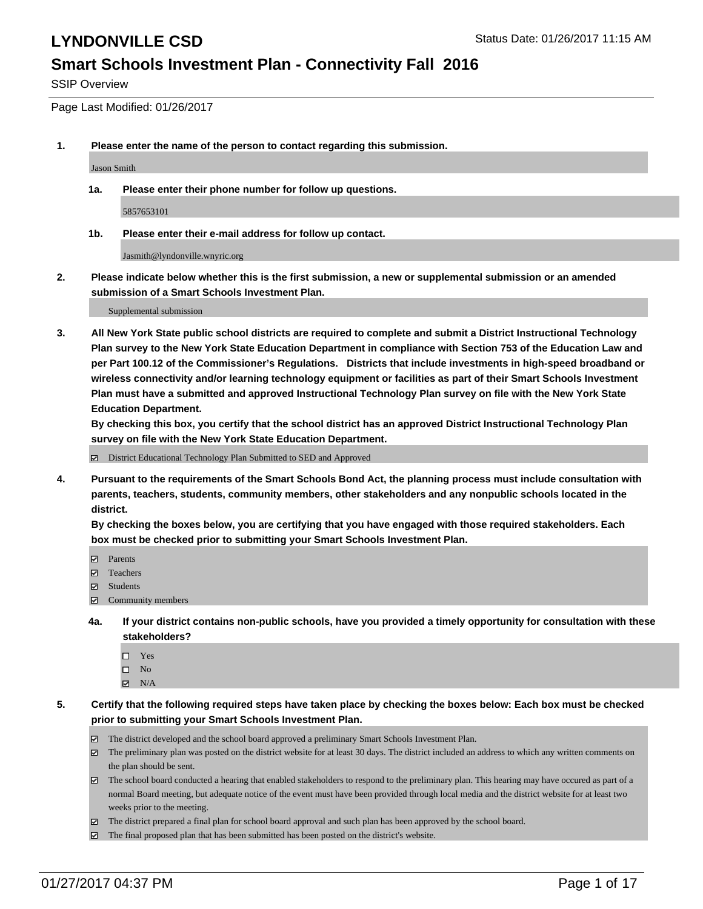#### **Smart Schools Investment Plan - Connectivity Fall 2016**

SSIP Overview

Page Last Modified: 01/26/2017

**1. Please enter the name of the person to contact regarding this submission.**

Jason Smith

**1a. Please enter their phone number for follow up questions.**

5857653101

**1b. Please enter their e-mail address for follow up contact.**

Jasmith@lyndonville.wnyric.org

**2. Please indicate below whether this is the first submission, a new or supplemental submission or an amended submission of a Smart Schools Investment Plan.**

Supplemental submission

**3. All New York State public school districts are required to complete and submit a District Instructional Technology Plan survey to the New York State Education Department in compliance with Section 753 of the Education Law and per Part 100.12 of the Commissioner's Regulations. Districts that include investments in high-speed broadband or wireless connectivity and/or learning technology equipment or facilities as part of their Smart Schools Investment Plan must have a submitted and approved Instructional Technology Plan survey on file with the New York State Education Department.** 

**By checking this box, you certify that the school district has an approved District Instructional Technology Plan survey on file with the New York State Education Department.**

District Educational Technology Plan Submitted to SED and Approved

**4. Pursuant to the requirements of the Smart Schools Bond Act, the planning process must include consultation with parents, teachers, students, community members, other stakeholders and any nonpublic schools located in the district.** 

**By checking the boxes below, you are certifying that you have engaged with those required stakeholders. Each box must be checked prior to submitting your Smart Schools Investment Plan.**

- **Parents**
- Teachers
- **冈** Students
- Community members
- **4a. If your district contains non-public schools, have you provided a timely opportunity for consultation with these stakeholders?**
	- □ Yes
	- $\square$  No
	- $\boxtimes$  N/A

**5. Certify that the following required steps have taken place by checking the boxes below: Each box must be checked prior to submitting your Smart Schools Investment Plan.**

- The district developed and the school board approved a preliminary Smart Schools Investment Plan.
- The preliminary plan was posted on the district website for at least 30 days. The district included an address to which any written comments on the plan should be sent.
- The school board conducted a hearing that enabled stakeholders to respond to the preliminary plan. This hearing may have occured as part of a normal Board meeting, but adequate notice of the event must have been provided through local media and the district website for at least two weeks prior to the meeting.
- The district prepared a final plan for school board approval and such plan has been approved by the school board.
- $\boxtimes$  The final proposed plan that has been submitted has been posted on the district's website.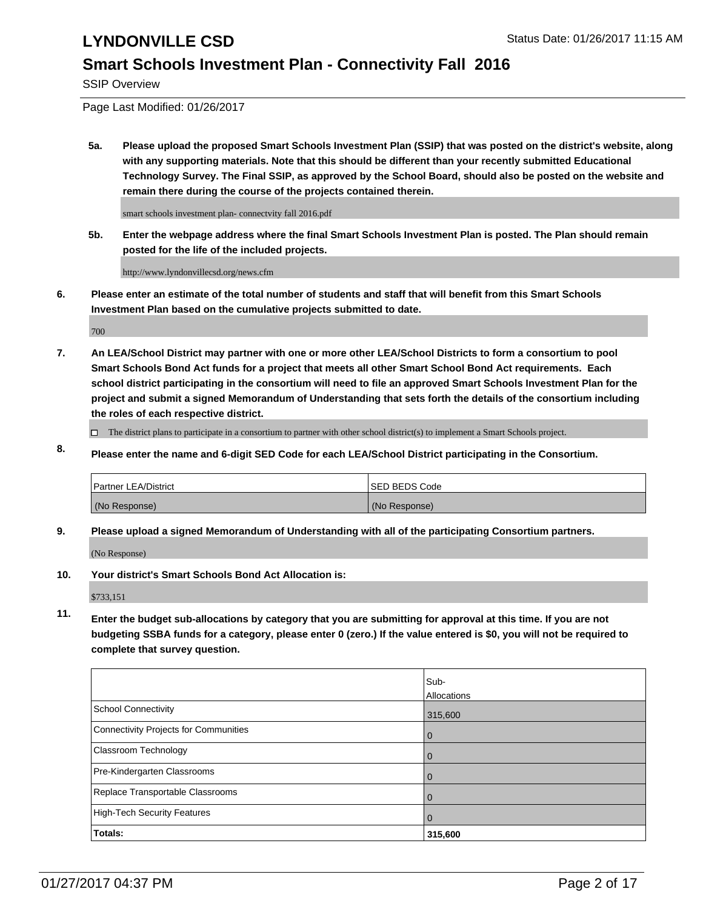#### **Smart Schools Investment Plan - Connectivity Fall 2016**

SSIP Overview

Page Last Modified: 01/26/2017

**5a. Please upload the proposed Smart Schools Investment Plan (SSIP) that was posted on the district's website, along with any supporting materials. Note that this should be different than your recently submitted Educational Technology Survey. The Final SSIP, as approved by the School Board, should also be posted on the website and remain there during the course of the projects contained therein.**

smart schools investment plan- connectvity fall 2016.pdf

**5b. Enter the webpage address where the final Smart Schools Investment Plan is posted. The Plan should remain posted for the life of the included projects.**

http://www.lyndonvillecsd.org/news.cfm

**6. Please enter an estimate of the total number of students and staff that will benefit from this Smart Schools Investment Plan based on the cumulative projects submitted to date.**

700

- **7. An LEA/School District may partner with one or more other LEA/School Districts to form a consortium to pool Smart Schools Bond Act funds for a project that meets all other Smart School Bond Act requirements. Each school district participating in the consortium will need to file an approved Smart Schools Investment Plan for the project and submit a signed Memorandum of Understanding that sets forth the details of the consortium including the roles of each respective district.**
	- $\Box$  The district plans to participate in a consortium to partner with other school district(s) to implement a Smart Schools project.
- **8. Please enter the name and 6-digit SED Code for each LEA/School District participating in the Consortium.**

| <b>Partner LEA/District</b> | <b>ISED BEDS Code</b> |
|-----------------------------|-----------------------|
| (No Response)               | (No Response)         |

**9. Please upload a signed Memorandum of Understanding with all of the participating Consortium partners.**

(No Response)

**10. Your district's Smart Schools Bond Act Allocation is:**

\$733,151

**11. Enter the budget sub-allocations by category that you are submitting for approval at this time. If you are not budgeting SSBA funds for a category, please enter 0 (zero.) If the value entered is \$0, you will not be required to complete that survey question.**

|                                       | Sub-        |
|---------------------------------------|-------------|
|                                       | Allocations |
| School Connectivity                   | 315,600     |
| Connectivity Projects for Communities | O           |
| Classroom Technology                  |             |
| Pre-Kindergarten Classrooms           |             |
| Replace Transportable Classrooms      |             |
| High-Tech Security Features           |             |
| Totals:                               | 315,600     |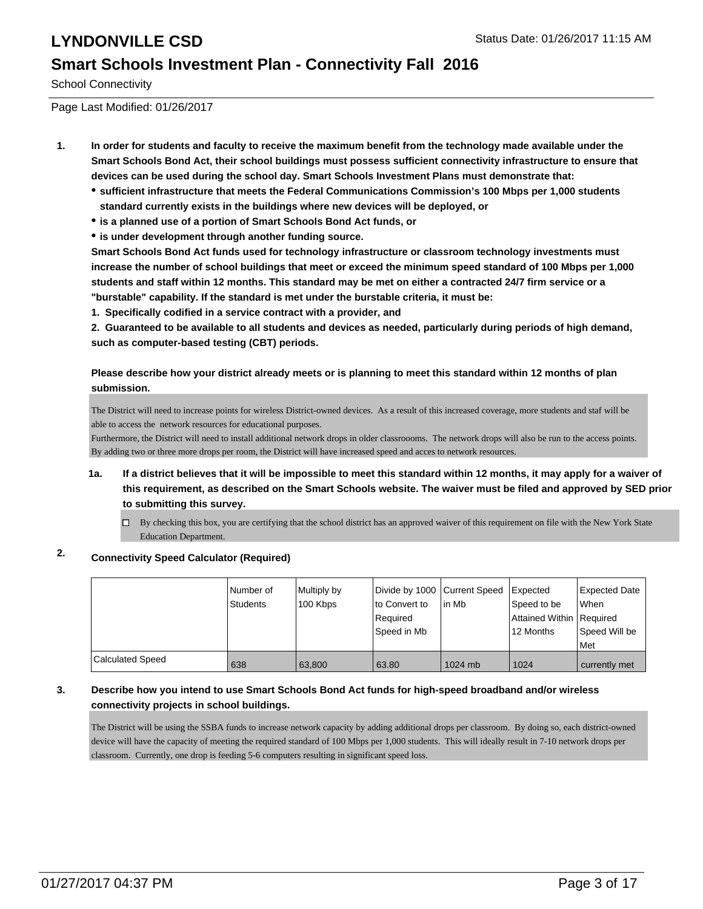School Connectivity

Page Last Modified: 01/26/2017

- **1. In order for students and faculty to receive the maximum benefit from the technology made available under the Smart Schools Bond Act, their school buildings must possess sufficient connectivity infrastructure to ensure that devices can be used during the school day. Smart Schools Investment Plans must demonstrate that:**
	- **sufficient infrastructure that meets the Federal Communications Commission's 100 Mbps per 1,000 students standard currently exists in the buildings where new devices will be deployed, or**
	- **is a planned use of a portion of Smart Schools Bond Act funds, or**
	- **is under development through another funding source.**

**Smart Schools Bond Act funds used for technology infrastructure or classroom technology investments must increase the number of school buildings that meet or exceed the minimum speed standard of 100 Mbps per 1,000 students and staff within 12 months. This standard may be met on either a contracted 24/7 firm service or a "burstable" capability. If the standard is met under the burstable criteria, it must be:**

**1. Specifically codified in a service contract with a provider, and**

**2. Guaranteed to be available to all students and devices as needed, particularly during periods of high demand, such as computer-based testing (CBT) periods.**

#### **Please describe how your district already meets or is planning to meet this standard within 12 months of plan submission.**

The District will need to increase points for wireless District-owned devices. As a result of this increased coverage, more students and staf will be able to access the network resources for educational purposes.

Furthermore, the District will need to install additional network drops in older classroooms. The network drops will also be run to the access points. By adding two or three more drops per room, the District will have increased speed and acces to network resources.

- **1a. If a district believes that it will be impossible to meet this standard within 12 months, it may apply for a waiver of this requirement, as described on the Smart Schools website. The waiver must be filed and approved by SED prior to submitting this survey.**
	- By checking this box, you are certifying that the school district has an approved waiver of this requirement on file with the New York State Education Department.

#### **2. Connectivity Speed Calculator (Required)**

|                  | Number of<br><b>Students</b> | Multiply by<br>100 Kbps | Divide by 1000 Current Speed<br>Ito Convert to<br>l Reauired<br>Speed in Mb | in Mb   | Expected<br>Speed to be<br>Attained Within   Required<br>l 12 Months | <b>Expected Date</b><br><b>When</b><br>Speed Will be<br><b>Met</b> |
|------------------|------------------------------|-------------------------|-----------------------------------------------------------------------------|---------|----------------------------------------------------------------------|--------------------------------------------------------------------|
| Calculated Speed | 638                          | 63,800                  | 63.80                                                                       | 1024 mb | 1024                                                                 | currently met                                                      |

#### **3. Describe how you intend to use Smart Schools Bond Act funds for high-speed broadband and/or wireless connectivity projects in school buildings.**

The District will be using the SSBA funds to increase network capacity by adding additional drops per classroom. By doing so, each district-owned device will have the capacity of meeting the required standard of 100 Mbps per 1,000 students. This will ideally result in 7-10 network drops per classroom. Currently, one drop is feeding 5-6 computers resulting in significant speed loss.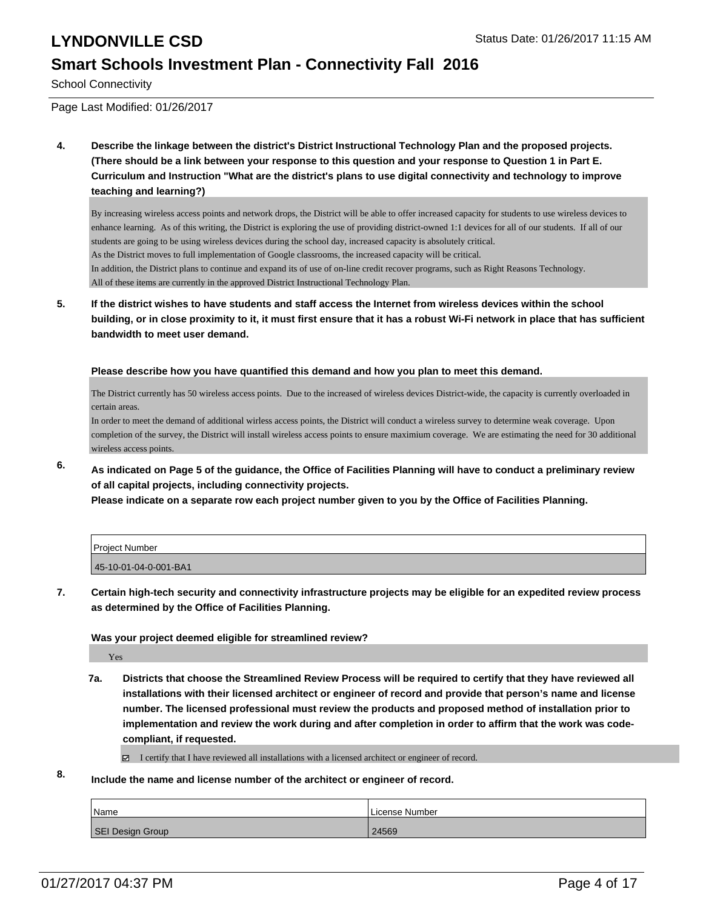School Connectivity

Page Last Modified: 01/26/2017

**4. Describe the linkage between the district's District Instructional Technology Plan and the proposed projects. (There should be a link between your response to this question and your response to Question 1 in Part E. Curriculum and Instruction "What are the district's plans to use digital connectivity and technology to improve teaching and learning?)**

By increasing wireless access points and network drops, the District will be able to offer increased capacity for students to use wireless devices to enhance learning. As of this writing, the District is exploring the use of providing district-owned 1:1 devices for all of our students. If all of our students are going to be using wireless devices during the school day, increased capacity is absolutely critical. As the District moves to full implementation of Google classrooms, the increased capacity will be critical.

In addition, the District plans to continue and expand its of use of on-line credit recover programs, such as Right Reasons Technology. All of these items are currently in the approved District Instructional Technology Plan.

**5. If the district wishes to have students and staff access the Internet from wireless devices within the school building, or in close proximity to it, it must first ensure that it has a robust Wi-Fi network in place that has sufficient bandwidth to meet user demand.**

#### **Please describe how you have quantified this demand and how you plan to meet this demand.**

The District currently has 50 wireless access points. Due to the increased of wireless devices District-wide, the capacity is currently overloaded in certain areas.

In order to meet the demand of additional wirless access points, the District will conduct a wireless survey to determine weak coverage. Upon completion of the survey, the District will install wireless access points to ensure maximium coverage. We are estimating the need for 30 additional wireless access points.

**6. As indicated on Page 5 of the guidance, the Office of Facilities Planning will have to conduct a preliminary review of all capital projects, including connectivity projects.**

**Please indicate on a separate row each project number given to you by the Office of Facilities Planning.**

| Project Number        |  |
|-----------------------|--|
| 45-10-01-04-0-001-BA1 |  |

**7. Certain high-tech security and connectivity infrastructure projects may be eligible for an expedited review process as determined by the Office of Facilities Planning.**

**Was your project deemed eligible for streamlined review?**

Yes

- **7a. Districts that choose the Streamlined Review Process will be required to certify that they have reviewed all installations with their licensed architect or engineer of record and provide that person's name and license number. The licensed professional must review the products and proposed method of installation prior to implementation and review the work during and after completion in order to affirm that the work was codecompliant, if requested.**
	- I certify that I have reviewed all installations with a licensed architect or engineer of record.
- **8. Include the name and license number of the architect or engineer of record.**

| <i>Name</i>      | License Number |
|------------------|----------------|
| SEI Design Group | 24569          |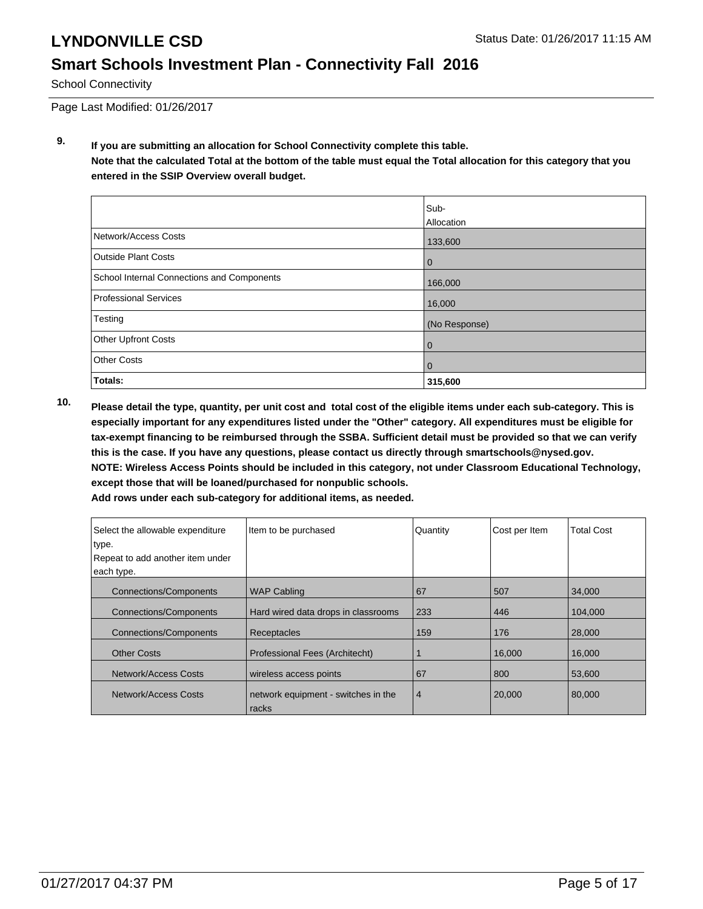## **Smart Schools Investment Plan - Connectivity Fall 2016**

School Connectivity

Page Last Modified: 01/26/2017

**9. If you are submitting an allocation for School Connectivity complete this table. Note that the calculated Total at the bottom of the table must equal the Total allocation for this category that you entered in the SSIP Overview overall budget.** 

|                                                   | Sub-<br>Allocation |
|---------------------------------------------------|--------------------|
| Network/Access Costs                              | 133,600            |
| Outside Plant Costs                               | $\mathbf 0$        |
| <b>School Internal Connections and Components</b> | 166,000            |
| Professional Services                             | 16,000             |
| Testing                                           | (No Response)      |
| <b>Other Upfront Costs</b>                        | 0                  |
| Other Costs                                       | 0                  |
| Totals:                                           | 315,600            |

**10. Please detail the type, quantity, per unit cost and total cost of the eligible items under each sub-category. This is especially important for any expenditures listed under the "Other" category. All expenditures must be eligible for tax-exempt financing to be reimbursed through the SSBA. Sufficient detail must be provided so that we can verify this is the case. If you have any questions, please contact us directly through smartschools@nysed.gov. NOTE: Wireless Access Points should be included in this category, not under Classroom Educational Technology, except those that will be loaned/purchased for nonpublic schools.**

| Select the allowable expenditure | Item to be purchased                         | Quantity | Cost per Item | <b>Total Cost</b> |
|----------------------------------|----------------------------------------------|----------|---------------|-------------------|
| type.                            |                                              |          |               |                   |
| Repeat to add another item under |                                              |          |               |                   |
| each type.                       |                                              |          |               |                   |
| <b>Connections/Components</b>    | <b>WAP Cabling</b>                           | 67       | 507           | 34,000            |
| <b>Connections/Components</b>    | Hard wired data drops in classrooms          | 233      | 446           | 104.000           |
| <b>Connections/Components</b>    | Receptacles                                  | 159      | 176           | 28,000            |
| <b>Other Costs</b>               | Professional Fees (Architecht)               |          | 16,000        | 16,000            |
| Network/Access Costs             | wireless access points                       | 67       | 800           | 53,600            |
| Network/Access Costs             | network equipment - switches in the<br>racks | 4        | 20,000        | 80,000            |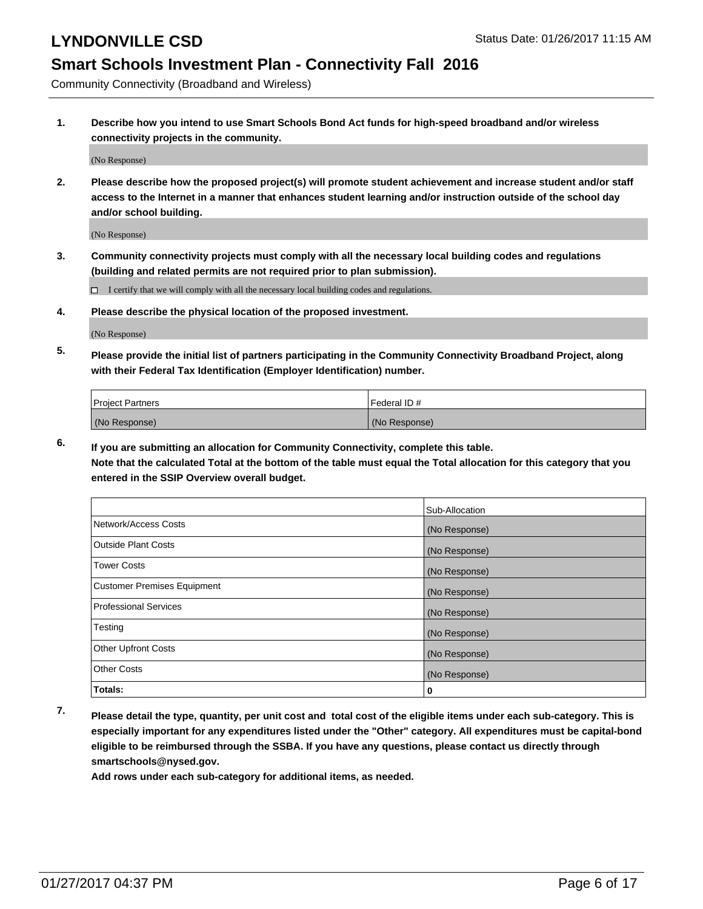Community Connectivity (Broadband and Wireless)

**1. Describe how you intend to use Smart Schools Bond Act funds for high-speed broadband and/or wireless connectivity projects in the community.**

(No Response)

**2. Please describe how the proposed project(s) will promote student achievement and increase student and/or staff access to the Internet in a manner that enhances student learning and/or instruction outside of the school day and/or school building.**

(No Response)

**3. Community connectivity projects must comply with all the necessary local building codes and regulations (building and related permits are not required prior to plan submission).**

 $\Box$  I certify that we will comply with all the necessary local building codes and regulations.

**4. Please describe the physical location of the proposed investment.**

(No Response)

**5. Please provide the initial list of partners participating in the Community Connectivity Broadband Project, along with their Federal Tax Identification (Employer Identification) number.**

| <b>Project Partners</b> | Federal ID#   |
|-------------------------|---------------|
| (No Response)           | (No Response) |

**6. If you are submitting an allocation for Community Connectivity, complete this table.**

**Note that the calculated Total at the bottom of the table must equal the Total allocation for this category that you entered in the SSIP Overview overall budget.**

|                                    | Sub-Allocation |
|------------------------------------|----------------|
| Network/Access Costs               | (No Response)  |
| Outside Plant Costs                | (No Response)  |
| <b>Tower Costs</b>                 | (No Response)  |
| <b>Customer Premises Equipment</b> | (No Response)  |
| Professional Services              | (No Response)  |
| Testing                            | (No Response)  |
| <b>Other Upfront Costs</b>         | (No Response)  |
| <b>Other Costs</b>                 | (No Response)  |
| <b>Totals:</b>                     | o              |

- 
- **7. Please detail the type, quantity, per unit cost and total cost of the eligible items under each sub-category. This is especially important for any expenditures listed under the "Other" category. All expenditures must be capital-bond eligible to be reimbursed through the SSBA. If you have any questions, please contact us directly through smartschools@nysed.gov.**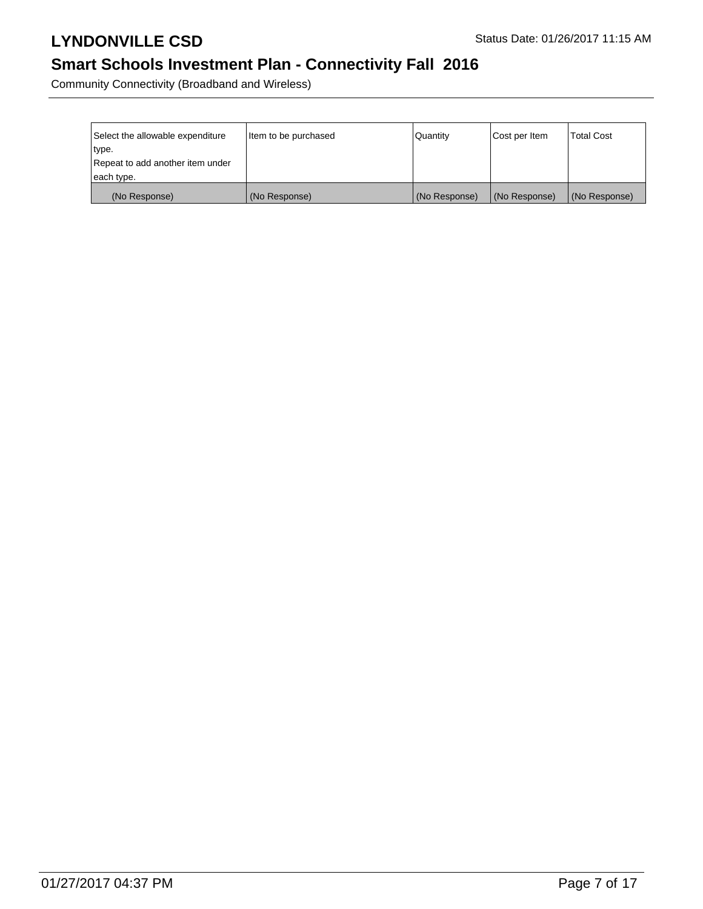# **Smart Schools Investment Plan - Connectivity Fall 2016**

Community Connectivity (Broadband and Wireless)

| Select the allowable expenditure | Item to be purchased | Quantity      | Cost per Item | <b>Total Cost</b> |
|----------------------------------|----------------------|---------------|---------------|-------------------|
| type.                            |                      |               |               |                   |
| Repeat to add another item under |                      |               |               |                   |
| each type.                       |                      |               |               |                   |
| (No Response)                    | (No Response)        | (No Response) | (No Response) | (No Response)     |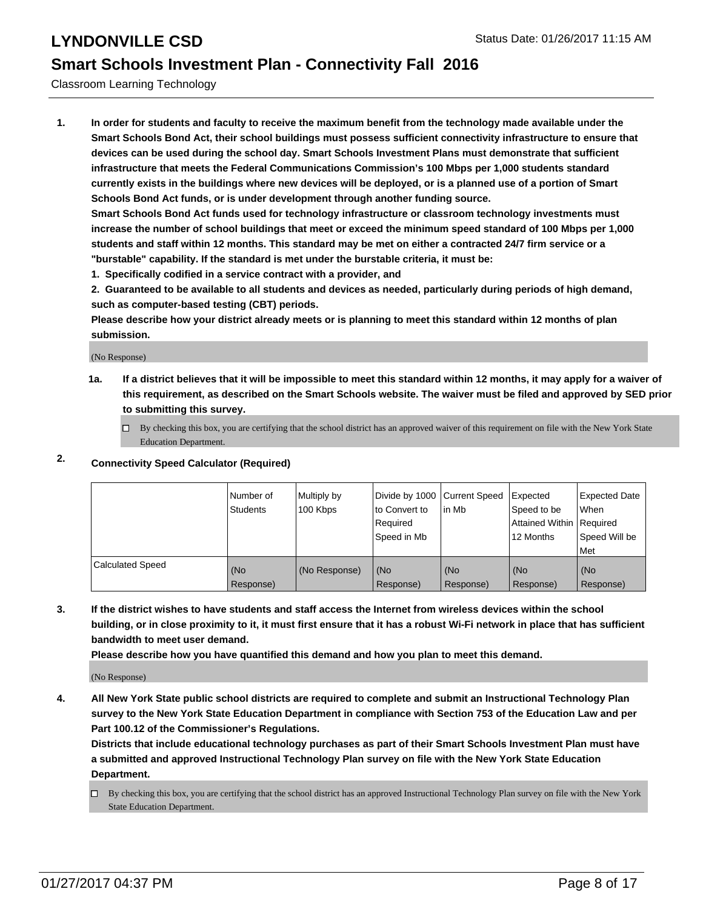Classroom Learning Technology

**1. In order for students and faculty to receive the maximum benefit from the technology made available under the Smart Schools Bond Act, their school buildings must possess sufficient connectivity infrastructure to ensure that devices can be used during the school day. Smart Schools Investment Plans must demonstrate that sufficient infrastructure that meets the Federal Communications Commission's 100 Mbps per 1,000 students standard currently exists in the buildings where new devices will be deployed, or is a planned use of a portion of Smart Schools Bond Act funds, or is under development through another funding source.**

**Smart Schools Bond Act funds used for technology infrastructure or classroom technology investments must increase the number of school buildings that meet or exceed the minimum speed standard of 100 Mbps per 1,000 students and staff within 12 months. This standard may be met on either a contracted 24/7 firm service or a "burstable" capability. If the standard is met under the burstable criteria, it must be:**

**1. Specifically codified in a service contract with a provider, and**

**2. Guaranteed to be available to all students and devices as needed, particularly during periods of high demand, such as computer-based testing (CBT) periods.**

**Please describe how your district already meets or is planning to meet this standard within 12 months of plan submission.**

(No Response)

**1a. If a district believes that it will be impossible to meet this standard within 12 months, it may apply for a waiver of this requirement, as described on the Smart Schools website. The waiver must be filed and approved by SED prior to submitting this survey.**

 $\Box$  By checking this box, you are certifying that the school district has an approved waiver of this requirement on file with the New York State Education Department.

#### **2. Connectivity Speed Calculator (Required)**

|                         | Number of<br>Students | Multiply by<br>100 Kbps | Divide by 1000 Current Speed<br>Ito Convert to<br>Required<br>l Speed in Mb | lin Mb           | Expected<br>Speed to be<br>Attained Within   Required<br>12 Months | Expected Date<br><b>When</b><br>Speed Will be<br>l Met |
|-------------------------|-----------------------|-------------------------|-----------------------------------------------------------------------------|------------------|--------------------------------------------------------------------|--------------------------------------------------------|
| <b>Calculated Speed</b> | (No<br>Response)      | (No Response)           | (No<br>Response)                                                            | (No<br>Response) | (No<br>Response)                                                   | l (No<br>Response)                                     |

**3. If the district wishes to have students and staff access the Internet from wireless devices within the school building, or in close proximity to it, it must first ensure that it has a robust Wi-Fi network in place that has sufficient bandwidth to meet user demand.**

**Please describe how you have quantified this demand and how you plan to meet this demand.**

(No Response)

**4. All New York State public school districts are required to complete and submit an Instructional Technology Plan survey to the New York State Education Department in compliance with Section 753 of the Education Law and per Part 100.12 of the Commissioner's Regulations.**

**Districts that include educational technology purchases as part of their Smart Schools Investment Plan must have a submitted and approved Instructional Technology Plan survey on file with the New York State Education Department.**

By checking this box, you are certifying that the school district has an approved Instructional Technology Plan survey on file with the New York State Education Department.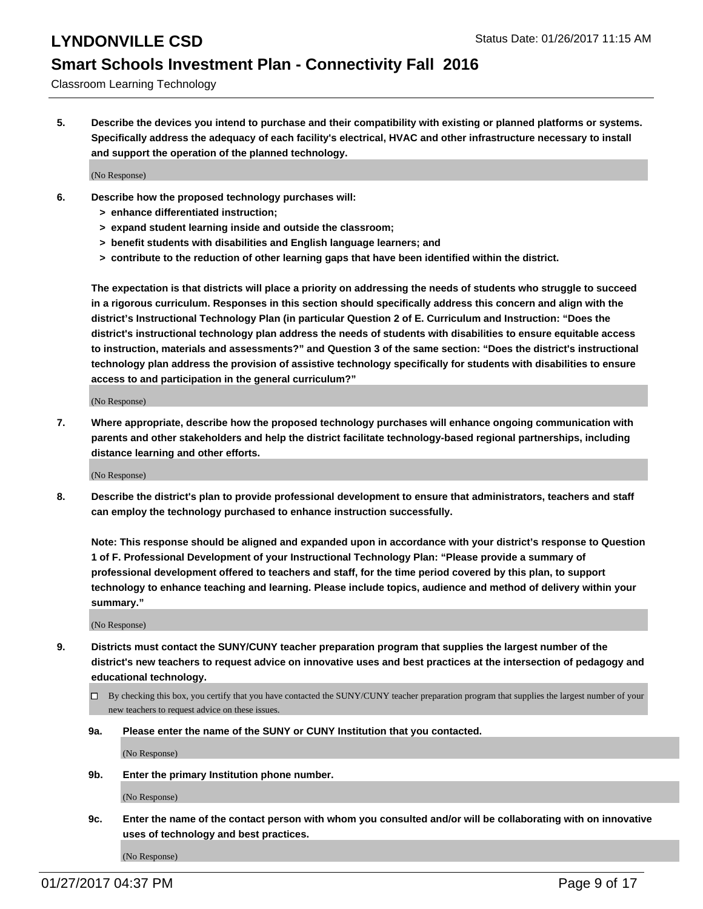Classroom Learning Technology

**5. Describe the devices you intend to purchase and their compatibility with existing or planned platforms or systems. Specifically address the adequacy of each facility's electrical, HVAC and other infrastructure necessary to install and support the operation of the planned technology.**

(No Response)

- **6. Describe how the proposed technology purchases will:**
	- **> enhance differentiated instruction;**
	- **> expand student learning inside and outside the classroom;**
	- **> benefit students with disabilities and English language learners; and**
	- **> contribute to the reduction of other learning gaps that have been identified within the district.**

**The expectation is that districts will place a priority on addressing the needs of students who struggle to succeed in a rigorous curriculum. Responses in this section should specifically address this concern and align with the district's Instructional Technology Plan (in particular Question 2 of E. Curriculum and Instruction: "Does the district's instructional technology plan address the needs of students with disabilities to ensure equitable access to instruction, materials and assessments?" and Question 3 of the same section: "Does the district's instructional technology plan address the provision of assistive technology specifically for students with disabilities to ensure access to and participation in the general curriculum?"**

(No Response)

**7. Where appropriate, describe how the proposed technology purchases will enhance ongoing communication with parents and other stakeholders and help the district facilitate technology-based regional partnerships, including distance learning and other efforts.**

(No Response)

**8. Describe the district's plan to provide professional development to ensure that administrators, teachers and staff can employ the technology purchased to enhance instruction successfully.**

**Note: This response should be aligned and expanded upon in accordance with your district's response to Question 1 of F. Professional Development of your Instructional Technology Plan: "Please provide a summary of professional development offered to teachers and staff, for the time period covered by this plan, to support technology to enhance teaching and learning. Please include topics, audience and method of delivery within your summary."**

(No Response)

- **9. Districts must contact the SUNY/CUNY teacher preparation program that supplies the largest number of the district's new teachers to request advice on innovative uses and best practices at the intersection of pedagogy and educational technology.**
	- $\Box$  By checking this box, you certify that you have contacted the SUNY/CUNY teacher preparation program that supplies the largest number of your new teachers to request advice on these issues.
	- **9a. Please enter the name of the SUNY or CUNY Institution that you contacted.**

(No Response)

**9b. Enter the primary Institution phone number.**

(No Response)

**9c. Enter the name of the contact person with whom you consulted and/or will be collaborating with on innovative uses of technology and best practices.**

(No Response)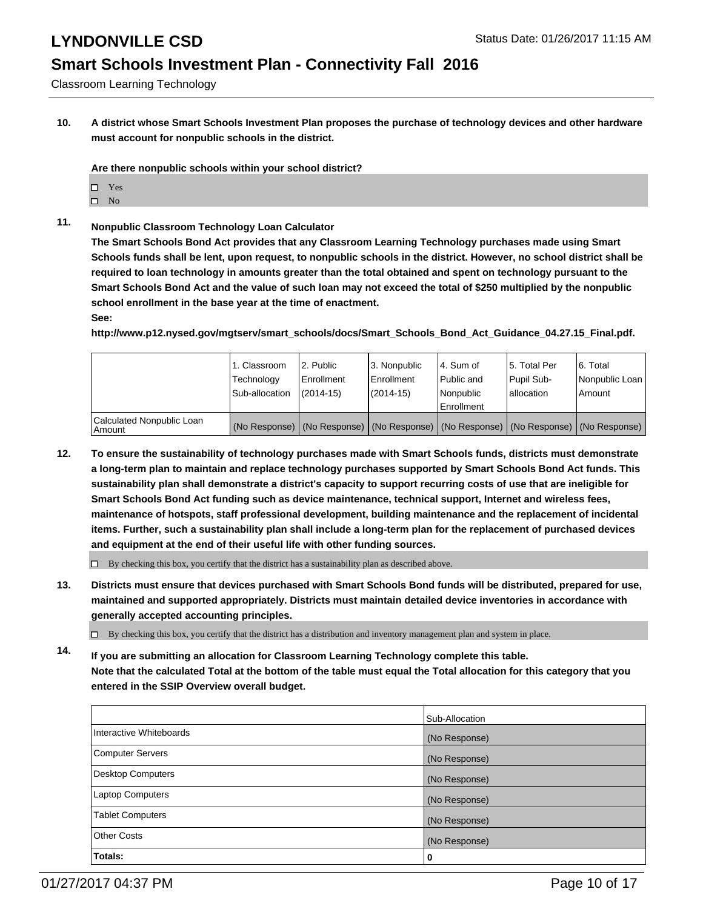Classroom Learning Technology

**10. A district whose Smart Schools Investment Plan proposes the purchase of technology devices and other hardware must account for nonpublic schools in the district.**

**Are there nonpublic schools within your school district?**

- □ Yes
- $\square$  No
- **11. Nonpublic Classroom Technology Loan Calculator**

**The Smart Schools Bond Act provides that any Classroom Learning Technology purchases made using Smart Schools funds shall be lent, upon request, to nonpublic schools in the district. However, no school district shall be required to loan technology in amounts greater than the total obtained and spent on technology pursuant to the Smart Schools Bond Act and the value of such loan may not exceed the total of \$250 multiplied by the nonpublic school enrollment in the base year at the time of enactment.**

#### **See:**

**http://www.p12.nysed.gov/mgtserv/smart\_schools/docs/Smart\_Schools\_Bond\_Act\_Guidance\_04.27.15\_Final.pdf.**

|                                       | 1. Classroom<br>Technology<br>Sub-allocation | 2. Public<br>Enrollment<br>$(2014 - 15)$                                                      | 3. Nonpublic<br>Enrollment<br>(2014-15) | l 4. Sum of<br>l Public and<br>l Nonpublic<br>Enrollment | 15. Total Per<br>Pupil Sub-<br>I allocation | 6. Total<br>Nonpublic Loan  <br>Amount |
|---------------------------------------|----------------------------------------------|-----------------------------------------------------------------------------------------------|-----------------------------------------|----------------------------------------------------------|---------------------------------------------|----------------------------------------|
| Calculated Nonpublic Loan<br>  Amount |                                              | (No Response)   (No Response)   (No Response)   (No Response)   (No Response)   (No Response) |                                         |                                                          |                                             |                                        |

- **12. To ensure the sustainability of technology purchases made with Smart Schools funds, districts must demonstrate a long-term plan to maintain and replace technology purchases supported by Smart Schools Bond Act funds. This sustainability plan shall demonstrate a district's capacity to support recurring costs of use that are ineligible for Smart Schools Bond Act funding such as device maintenance, technical support, Internet and wireless fees, maintenance of hotspots, staff professional development, building maintenance and the replacement of incidental items. Further, such a sustainability plan shall include a long-term plan for the replacement of purchased devices and equipment at the end of their useful life with other funding sources.**
	- $\Box$  By checking this box, you certify that the district has a sustainability plan as described above.
- **13. Districts must ensure that devices purchased with Smart Schools Bond funds will be distributed, prepared for use, maintained and supported appropriately. Districts must maintain detailed device inventories in accordance with generally accepted accounting principles.**

 $\Box$  By checking this box, you certify that the district has a distribution and inventory management plan and system in place.

**14. If you are submitting an allocation for Classroom Learning Technology complete this table. Note that the calculated Total at the bottom of the table must equal the Total allocation for this category that you entered in the SSIP Overview overall budget.**

|                         | Sub-Allocation |
|-------------------------|----------------|
| Interactive Whiteboards | (No Response)  |
| Computer Servers        | (No Response)  |
| Desktop Computers       | (No Response)  |
| Laptop Computers        | (No Response)  |
| <b>Tablet Computers</b> | (No Response)  |
| Other Costs             | (No Response)  |
| <b>Totals:</b>          | 0              |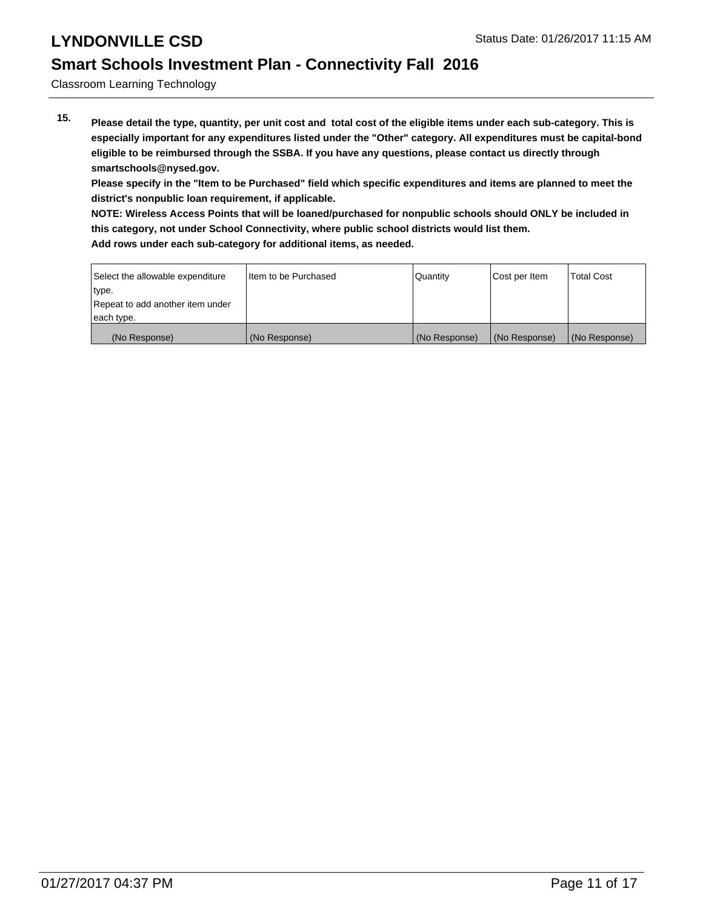Classroom Learning Technology

**15. Please detail the type, quantity, per unit cost and total cost of the eligible items under each sub-category. This is especially important for any expenditures listed under the "Other" category. All expenditures must be capital-bond eligible to be reimbursed through the SSBA. If you have any questions, please contact us directly through smartschools@nysed.gov.**

**Please specify in the "Item to be Purchased" field which specific expenditures and items are planned to meet the district's nonpublic loan requirement, if applicable.**

**NOTE: Wireless Access Points that will be loaned/purchased for nonpublic schools should ONLY be included in this category, not under School Connectivity, where public school districts would list them.**

| Select the allowable expenditure | I tem to be Purchased | Quantity      | Cost per Item | <b>Total Cost</b> |
|----------------------------------|-----------------------|---------------|---------------|-------------------|
| type.                            |                       |               |               |                   |
| Repeat to add another item under |                       |               |               |                   |
| each type.                       |                       |               |               |                   |
| (No Response)                    | (No Response)         | (No Response) | (No Response) | (No Response)     |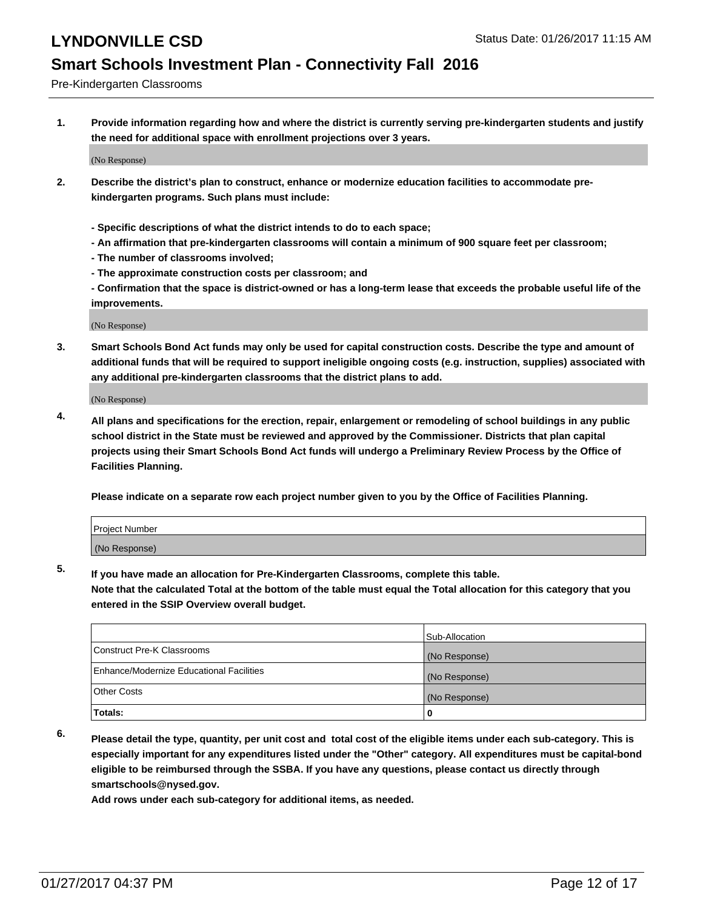Pre-Kindergarten Classrooms

**1. Provide information regarding how and where the district is currently serving pre-kindergarten students and justify the need for additional space with enrollment projections over 3 years.**

(No Response)

- **2. Describe the district's plan to construct, enhance or modernize education facilities to accommodate prekindergarten programs. Such plans must include:**
	- **Specific descriptions of what the district intends to do to each space;**
	- **An affirmation that pre-kindergarten classrooms will contain a minimum of 900 square feet per classroom;**
	- **The number of classrooms involved;**
	- **The approximate construction costs per classroom; and**
	- **Confirmation that the space is district-owned or has a long-term lease that exceeds the probable useful life of the improvements.**

(No Response)

**3. Smart Schools Bond Act funds may only be used for capital construction costs. Describe the type and amount of additional funds that will be required to support ineligible ongoing costs (e.g. instruction, supplies) associated with any additional pre-kindergarten classrooms that the district plans to add.**

(No Response)

**4. All plans and specifications for the erection, repair, enlargement or remodeling of school buildings in any public school district in the State must be reviewed and approved by the Commissioner. Districts that plan capital projects using their Smart Schools Bond Act funds will undergo a Preliminary Review Process by the Office of Facilities Planning.**

**Please indicate on a separate row each project number given to you by the Office of Facilities Planning.**

| <b>Project Number</b> |  |
|-----------------------|--|
| (No Response)         |  |

**5. If you have made an allocation for Pre-Kindergarten Classrooms, complete this table.**

**Note that the calculated Total at the bottom of the table must equal the Total allocation for this category that you entered in the SSIP Overview overall budget.**

|                                          | Sub-Allocation |
|------------------------------------------|----------------|
| Construct Pre-K Classrooms               | (No Response)  |
| Enhance/Modernize Educational Facilities | (No Response)  |
| Other Costs                              | (No Response)  |
| Totals:                                  | $\mathbf{0}$   |

**6. Please detail the type, quantity, per unit cost and total cost of the eligible items under each sub-category. This is especially important for any expenditures listed under the "Other" category. All expenditures must be capital-bond eligible to be reimbursed through the SSBA. If you have any questions, please contact us directly through smartschools@nysed.gov.**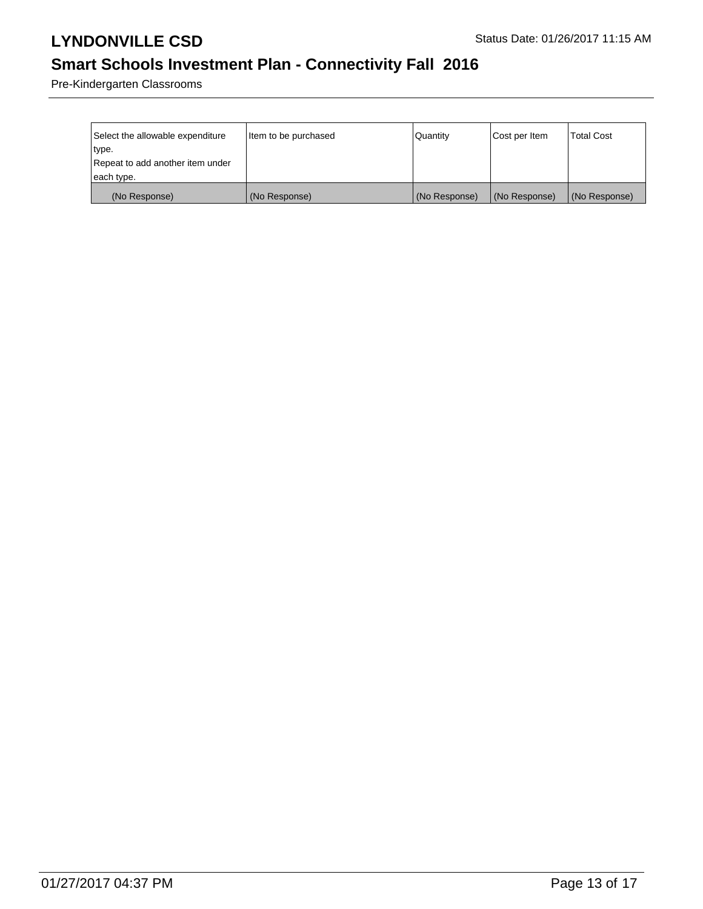# **Smart Schools Investment Plan - Connectivity Fall 2016**

Pre-Kindergarten Classrooms

| Select the allowable expenditure | Item to be purchased | Quantity      | Cost per Item | <b>Total Cost</b> |
|----------------------------------|----------------------|---------------|---------------|-------------------|
| type.                            |                      |               |               |                   |
| Repeat to add another item under |                      |               |               |                   |
| each type.                       |                      |               |               |                   |
| (No Response)                    | (No Response)        | (No Response) | (No Response) | (No Response)     |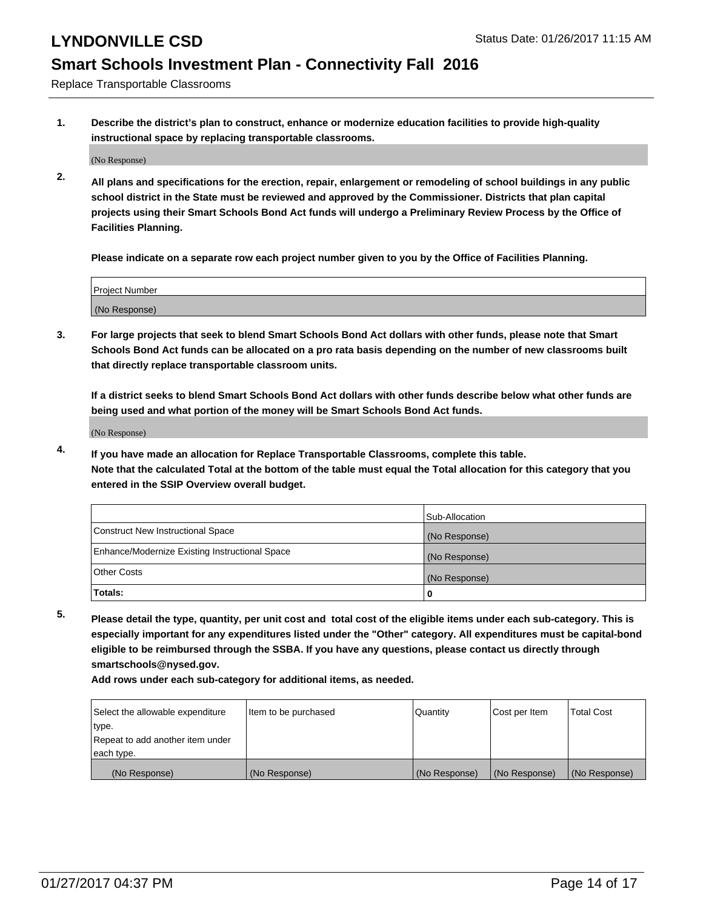Replace Transportable Classrooms

**1. Describe the district's plan to construct, enhance or modernize education facilities to provide high-quality instructional space by replacing transportable classrooms.**

(No Response)

**2. All plans and specifications for the erection, repair, enlargement or remodeling of school buildings in any public school district in the State must be reviewed and approved by the Commissioner. Districts that plan capital projects using their Smart Schools Bond Act funds will undergo a Preliminary Review Process by the Office of Facilities Planning.**

**Please indicate on a separate row each project number given to you by the Office of Facilities Planning.**

| Project Number |  |
|----------------|--|
|                |  |
| (No Response)  |  |
|                |  |

**3. For large projects that seek to blend Smart Schools Bond Act dollars with other funds, please note that Smart Schools Bond Act funds can be allocated on a pro rata basis depending on the number of new classrooms built that directly replace transportable classroom units.**

**If a district seeks to blend Smart Schools Bond Act dollars with other funds describe below what other funds are being used and what portion of the money will be Smart Schools Bond Act funds.**

(No Response)

**4. If you have made an allocation for Replace Transportable Classrooms, complete this table. Note that the calculated Total at the bottom of the table must equal the Total allocation for this category that you entered in the SSIP Overview overall budget.**

|                                                | Sub-Allocation |
|------------------------------------------------|----------------|
| Construct New Instructional Space              | (No Response)  |
| Enhance/Modernize Existing Instructional Space | (No Response)  |
| Other Costs                                    | (No Response)  |
| Totals:                                        | 0              |

**5. Please detail the type, quantity, per unit cost and total cost of the eligible items under each sub-category. This is especially important for any expenditures listed under the "Other" category. All expenditures must be capital-bond eligible to be reimbursed through the SSBA. If you have any questions, please contact us directly through smartschools@nysed.gov.**

| Select the allowable expenditure | litem to be purchased | Quantity      | Cost per Item | <b>Total Cost</b> |
|----------------------------------|-----------------------|---------------|---------------|-------------------|
| type.                            |                       |               |               |                   |
| Repeat to add another item under |                       |               |               |                   |
| each type.                       |                       |               |               |                   |
| (No Response)                    | (No Response)         | (No Response) | (No Response) | (No Response)     |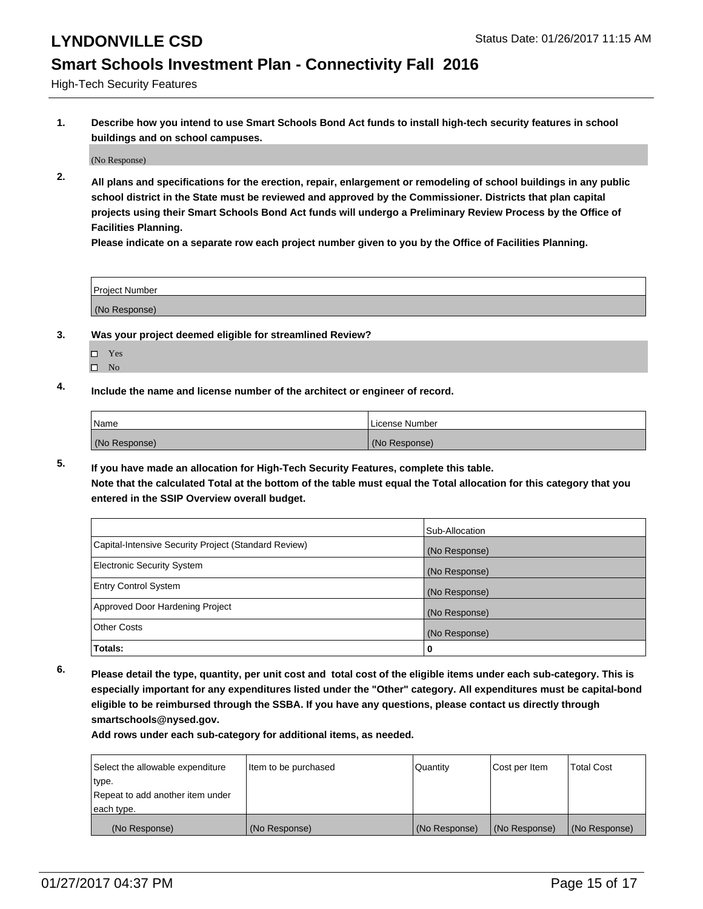### **Smart Schools Investment Plan - Connectivity Fall 2016**

High-Tech Security Features

**1. Describe how you intend to use Smart Schools Bond Act funds to install high-tech security features in school buildings and on school campuses.**

(No Response)

**2. All plans and specifications for the erection, repair, enlargement or remodeling of school buildings in any public school district in the State must be reviewed and approved by the Commissioner. Districts that plan capital projects using their Smart Schools Bond Act funds will undergo a Preliminary Review Process by the Office of Facilities Planning.** 

**Please indicate on a separate row each project number given to you by the Office of Facilities Planning.**

| Project Number |  |
|----------------|--|
| (No Response)  |  |

- **3. Was your project deemed eligible for streamlined Review?**
	- Yes
	- $\square$  No
- **4. Include the name and license number of the architect or engineer of record.**

| <b>Name</b>   | License Number |
|---------------|----------------|
| (No Response) | (No Response)  |

**5. If you have made an allocation for High-Tech Security Features, complete this table. Note that the calculated Total at the bottom of the table must equal the Total allocation for this category that you entered in the SSIP Overview overall budget.**

|                                                      | Sub-Allocation |
|------------------------------------------------------|----------------|
| Capital-Intensive Security Project (Standard Review) | (No Response)  |
| <b>Electronic Security System</b>                    | (No Response)  |
| <b>Entry Control System</b>                          | (No Response)  |
| Approved Door Hardening Project                      | (No Response)  |
| <b>Other Costs</b>                                   | (No Response)  |
| Totals:                                              | 0              |

**6. Please detail the type, quantity, per unit cost and total cost of the eligible items under each sub-category. This is especially important for any expenditures listed under the "Other" category. All expenditures must be capital-bond eligible to be reimbursed through the SSBA. If you have any questions, please contact us directly through smartschools@nysed.gov.**

| Select the allowable expenditure | Item to be purchased | Quantity      | Cost per Item | Total Cost    |
|----------------------------------|----------------------|---------------|---------------|---------------|
| type.                            |                      |               |               |               |
| Repeat to add another item under |                      |               |               |               |
| each type.                       |                      |               |               |               |
| (No Response)                    | (No Response)        | (No Response) | (No Response) | (No Response) |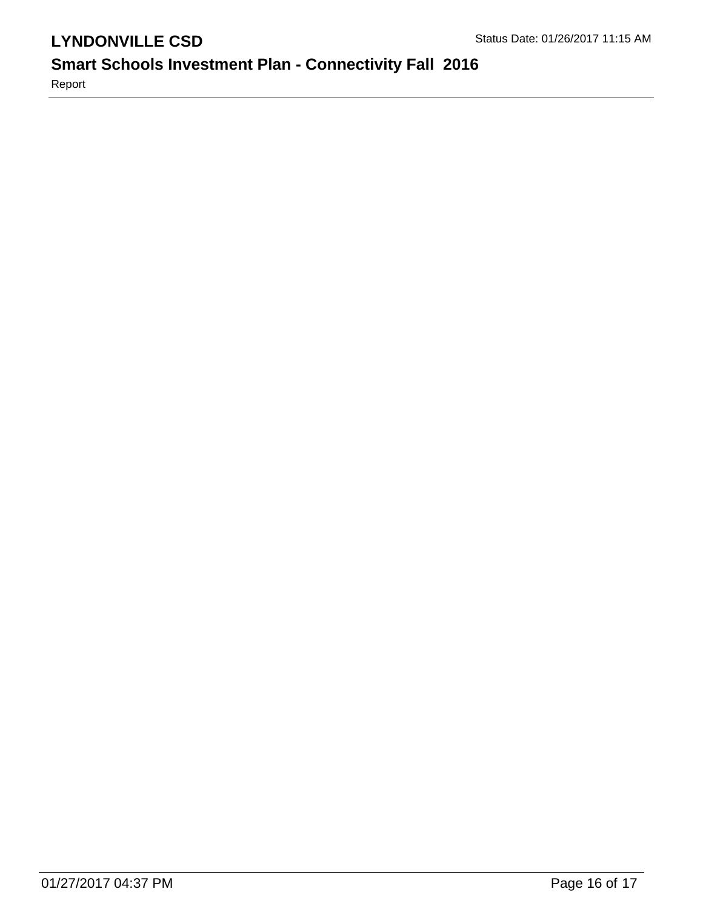# **Smart Schools Investment Plan - Connectivity Fall 2016**

Report